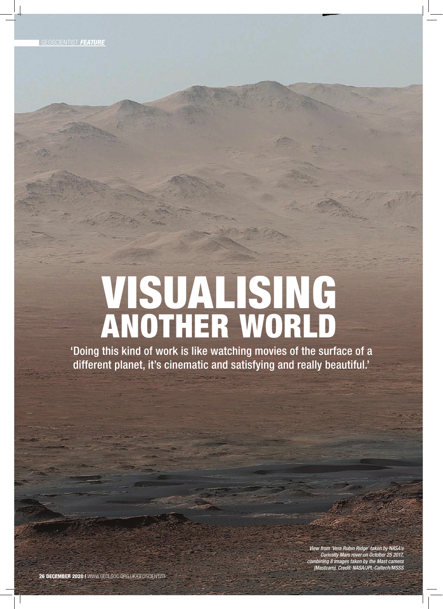## ANOTHER WORLD VISUALISING

'Doing this kind of work is like watching movies of the surface of a different planet, it's cinematic and satisfying and really beautiful.'

> View from 'Vera Rubin Ridge' taken by NASA's Curiosity Mars rover on October 25 2017, combining 8 images taken by the Mast camera (Mastcam). Credit: NASA/JPL-Caltech/MSSS